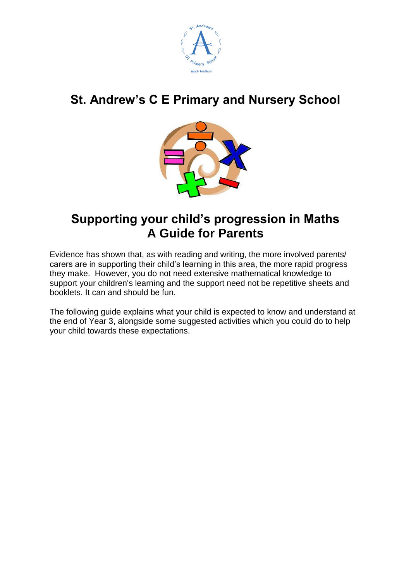

# **St. Andrew's C E Primary and Nursery School**



## **Supporting your child's progression in Maths A Guide for Parents**

Evidence has shown that, as with reading and writing, the more involved parents/ carers are in supporting their child's learning in this area, the more rapid progress they make. However, you do not need extensive mathematical knowledge to support your children's learning and the support need not be repetitive sheets and booklets. It can and should be fun.

The following guide explains what your child is expected to know and understand at the end of Year 3, alongside some suggested activities which you could do to help your child towards these expectations.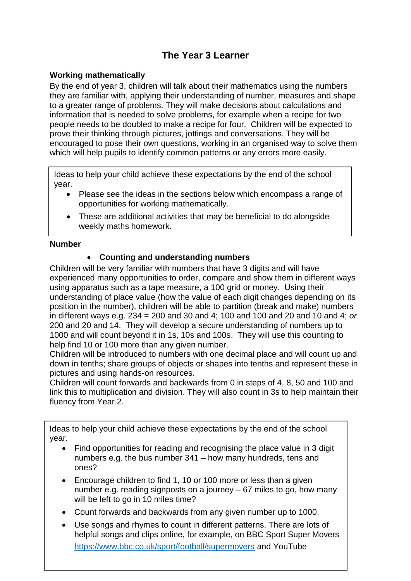### **The Year 3 Learner**

#### **Working mathematically**

By the end of year 3, children will talk about their mathematics using the numbers they are familiar with, applying their understanding of number, measures and shape to a greater range of problems. They will make decisions about calculations and information that is needed to solve problems, for example when a recipe for two people needs to be doubled to make a recipe for four. Children will be expected to prove their thinking through pictures, jottings and conversations. They will be encouraged to pose their own questions, working in an organised way to solve them which will help pupils to identify common patterns or any errors more easily.

Ideas to help your child achieve these expectations by the end of the school year.

- Please see the ideas in the sections below which encompass a range of opportunities for working mathematically.
- These are additional activities that may be beneficial to do alongside weekly maths homework.

#### **Number**

.

#### **Counting and understanding numbers**

Children will be very familiar with numbers that have 3 digits and will have experienced many opportunities to order, compare and show them in different ways using apparatus such as a tape measure, a 100 grid or money. Using their understanding of place value (how the value of each digit changes depending on its position in the number), children will be able to partition (break and make) numbers in different ways e.g. 234 = 200 and 30 and 4; 100 and 100 and 20 and 10 and 4; *or* 200 and 20 and 14. They will develop a secure understanding of numbers up to 1000 and will count beyond it in 1s, 10s and 100s. They will use this counting to help find 10 or 100 more than any given number.

Children will be introduced to numbers with one decimal place and will count up and down in tenths; share groups of objects or shapes into tenths and represent these in pictures and using hands-on resources.

Children will count forwards and backwards from 0 in steps of 4, 8, 50 and 100 and link this to multiplication and division. They will also count in 3s to help maintain their fluency from Year 2.

Ideas to help your child achieve these expectations by the end of the school year.

- Find opportunities for reading and recognising the place value in 3 digit numbers e.g. the bus number 341 – how many hundreds, tens and ones?
- Encourage children to find 1, 10 or 100 more or less than a given number e.g. reading signposts on a journey – 67 miles to go, how many will be left to go in 10 miles time?
- Count forwards and backwards from any given number up to 1000.
- Use songs and rhymes to count in different patterns. There are lots of helpful songs and clips online, for example, on BBC Sport Super Movers <https://www.bbc.co.uk/sport/football/supermovers> and YouTube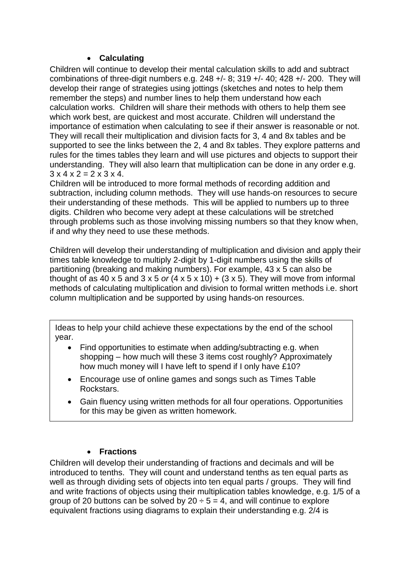#### **Calculating**

Children will continue to develop their mental calculation skills to add and subtract combinations of three-digit numbers e.g.  $248 +/-8$ ;  $319 +/-40$ ;  $428 +/-200$ . They will develop their range of strategies using jottings (sketches and notes to help them remember the steps) and number lines to help them understand how each calculation works. Children will share their methods with others to help them see which work best, are quickest and most accurate. Children will understand the importance of estimation when calculating to see if their answer is reasonable or not. They will recall their multiplication and division facts for 3, 4 and 8x tables and be supported to see the links between the 2, 4 and 8x tables. They explore patterns and rules for the times tables they learn and will use pictures and objects to support their understanding. They will also learn that multiplication can be done in any order e.g.  $3 \times 4 \times 2 = 2 \times 3 \times 4$ .

Children will be introduced to more formal methods of recording addition and subtraction, including column methods. They will use hands-on resources to secure their understanding of these methods. This will be applied to numbers up to three digits. Children who become very adept at these calculations will be stretched through problems such as those involving missing numbers so that they know when, if and why they need to use these methods.

Children will develop their understanding of multiplication and division and apply their times table knowledge to multiply 2-digit by 1-digit numbers using the skills of partitioning (breaking and making numbers). For example, 43 x 5 can also be thought of as 40 x 5 and 3 x 5 *or*  $(4 \times 5 \times 10) + (3 \times 5)$ . They will move from informal methods of calculating multiplication and division to formal written methods i.e. short column multiplication and be supported by using hands-on resources.

Ideas to help your child achieve these expectations by the end of the school year.

- Find opportunities to estimate when adding/subtracting e.g. when shopping – how much will these 3 items cost roughly? Approximately how much money will I have left to spend if I only have £10?
- Encourage use of online games and songs such as Times Table Rockstars.
- Gain fluency using written methods for all four operations. Opportunities for this may be given as written homework.

#### **Fractions**

Children will develop their understanding of fractions and decimals and will be introduced to tenths. They will count and understand tenths as ten equal parts as well as through dividing sets of objects into ten equal parts / groups. They will find and write fractions of objects using their multiplication tables knowledge, e.g. 1/5 of a group of 20 buttons can be solved by  $20 \div 5 = 4$ , and will continue to explore equivalent fractions using diagrams to explain their understanding e.g. 2/4 is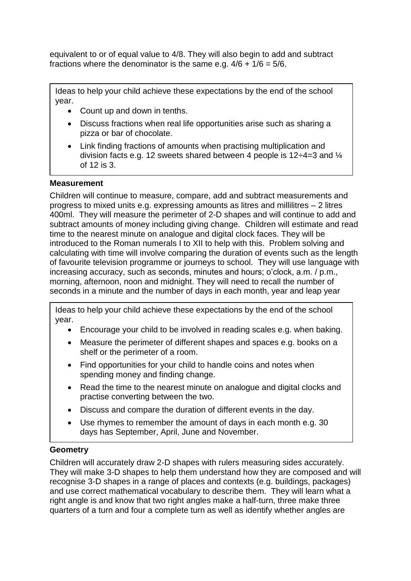equivalent to or of equal value to 4/8. They will also begin to add and subtract fractions where the denominator is the same e.g.  $4/6 + 1/6 = 5/6$ .

Ideas to help your child achieve these expectations by the end of the school year.

- Count up and down in tenths.
- Discuss fractions when real life opportunities arise such as sharing a pizza or bar of chocolate.
- Link finding fractions of amounts when practising multiplication and division facts e.g. 12 sweets shared between 4 people is 12÷4=3 and ¼ of 12 is 3.

#### **Measurement**

Children will continue to measure, compare, add and subtract measurements and progress to mixed units e.g. expressing amounts as litres and millilitres – 2 litres 400ml. They will measure the perimeter of 2-D shapes and will continue to add and subtract amounts of money including giving change. Children will estimate and read time to the nearest minute on analogue and digital clock faces. They will be introduced to the Roman numerals I to XII to help with this. Problem solving and calculating with time will involve comparing the duration of events such as the length of favourite television programme or journeys to school. They will use language with increasing accuracy, such as seconds, minutes and hours; o'clock, a.m. / p.m., morning, afternoon, noon and midnight. They will need to recall the number of seconds in a minute and the number of days in each month, year and leap year

Ideas to help your child achieve these expectations by the end of the school year.

- Encourage your child to be involved in reading scales e.g. when baking.
- Measure the perimeter of different shapes and spaces e.g. books on a shelf or the perimeter of a room.
- Find opportunities for your child to handle coins and notes when spending money and finding change.
- Read the time to the nearest minute on analogue and digital clocks and practise converting between the two.
- Discuss and compare the duration of different events in the day.
- Use rhymes to remember the amount of days in each month e.g. 30 days has September, April, June and November.

#### **Geometry**

Children will accurately draw 2-D shapes with rulers measuring sides accurately. They will make 3-D shapes to help them understand how they are composed and will recognise 3-D shapes in a range of places and contexts (e.g. buildings, packages) and use correct mathematical vocabulary to describe them. They will learn what a right angle is and know that two right angles make a half-turn, three make three quarters of a turn and four a complete turn as well as identify whether angles are